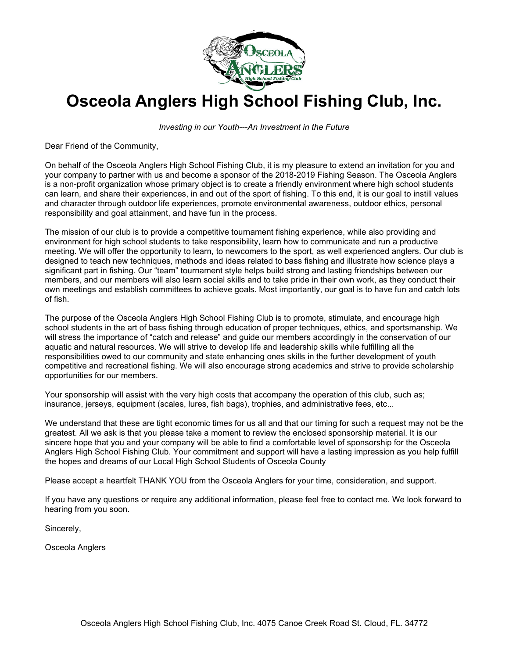

# **Osceola Anglers High School Fishing Club, Inc.**

*Investing in our Youth---An Investment in the Future*

Dear Friend of the Community,

On behalf of the Osceola Anglers High School Fishing Club, it is my pleasure to extend an invitation for you and your company to partner with us and become a sponsor of the 2018-2019 Fishing Season. The Osceola Anglers is a non-profit organization whose primary object is to create a friendly environment where high school students can learn, and share their experiences, in and out of the sport of fishing. To this end, it is our goal to instill values and character through outdoor life experiences, promote environmental awareness, outdoor ethics, personal responsibility and goal attainment, and have fun in the process.

The mission of our club is to provide a competitive tournament fishing experience, while also providing and environment for high school students to take responsibility, learn how to communicate and run a productive meeting. We will offer the opportunity to learn, to newcomers to the sport, as well experienced anglers. Our club is designed to teach new techniques, methods and ideas related to bass fishing and illustrate how science plays a significant part in fishing. Our "team" tournament style helps build strong and lasting friendships between our members, and our members will also learn social skills and to take pride in their own work, as they conduct their own meetings and establish committees to achieve goals. Most importantly, our goal is to have fun and catch lots of fish.

The purpose of the Osceola Anglers High School Fishing Club is to promote, stimulate, and encourage high school students in the art of bass fishing through education of proper techniques, ethics, and sportsmanship. We will stress the importance of "catch and release" and guide our members accordingly in the conservation of our aquatic and natural resources. We will strive to develop life and leadership skills while fulfilling all the responsibilities owed to our community and state enhancing ones skills in the further development of youth competitive and recreational fishing. We will also encourage strong academics and strive to provide scholarship opportunities for our members.

Your sponsorship will assist with the very high costs that accompany the operation of this club, such as; insurance, jerseys, equipment (scales, lures, fish bags), trophies, and administrative fees, etc...

We understand that these are tight economic times for us all and that our timing for such a request may not be the greatest. All we ask is that you please take a moment to review the enclosed sponsorship material. It is our sincere hope that you and your company will be able to find a comfortable level of sponsorship for the Osceola Anglers High School Fishing Club. Your commitment and support will have a lasting impression as you help fulfill the hopes and dreams of our Local High School Students of Osceola County

Please accept a heartfelt THANK YOU from the Osceola Anglers for your time, consideration, and support.

If you have any questions or require any additional information, please feel free to contact me. We look forward to hearing from you soon.

Sincerely,

Osceola Anglers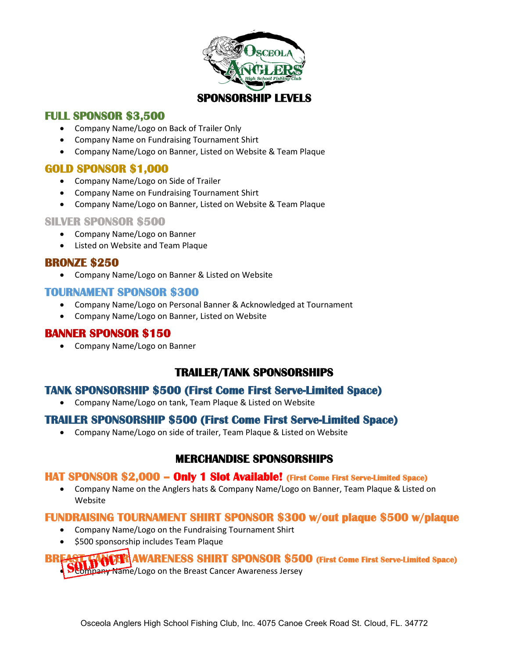

## **FULL SPONSOR \$3,500**

- Company Name/Logo on Back of Trailer Only
- Company Name on Fundraising Tournament Shirt
- Company Name/Logo on Banner, Listed on Website & Team Plaque

## **GOLD SPONSOR \$1,000**

- Company Name/Logo on Side of Trailer
- Company Name on Fundraising Tournament Shirt
- Company Name/Logo on Banner, Listed on Website & Team Plaque

#### **SILVER SPONSOR \$500**

- Company Name/Logo on Banner
- Listed on Website and Team Plaque

### **BRONZE \$250**

• Company Name/Logo on Banner & Listed on Website

### **TOURNAMENT SPONSOR \$300**

- Company Name/Logo on Personal Banner & Acknowledged at Tournament
- Company Name/Logo on Banner, Listed on Website

## **BANNER SPONSOR \$150**

• Company Name/Logo on Banner

# **TRAILER/TANK SPONSORSHIPS**

## **TANK SPONSORSHIP \$500 (First Come First Serve-Limited Space)**

• Company Name/Logo on tank, Team Plaque & Listed on Website

## **TRAILER SPONSORSHIP \$500 (First Come First Serve-Limited Space)**

• Company Name/Logo on side of trailer, Team Plaque & Listed on Website

# **MERCHANDISE SPONSORSHIPS**

### **HAT SPONSOR \$2,000 – Only 1 Slot Available! (First Come First Serve-Limited Space)**

• Company Name on the Anglers hats & Company Name/Logo on Banner, Team Plaque & Listed on Website

### **FUNDRAISING TOURNAMENT SHIRT SPONSOR \$300 w/out plaque \$500 w/plaque**

- Company Name/Logo on the Fundraising Tournament Shirt
- \$500 sponsorship includes Team Plaque

**WARENESS SHIRT SPONSOR \$500 (First Come First Serve-Limited Space)** • Company Name/Logo on the Breast Cancer Awareness Jersey